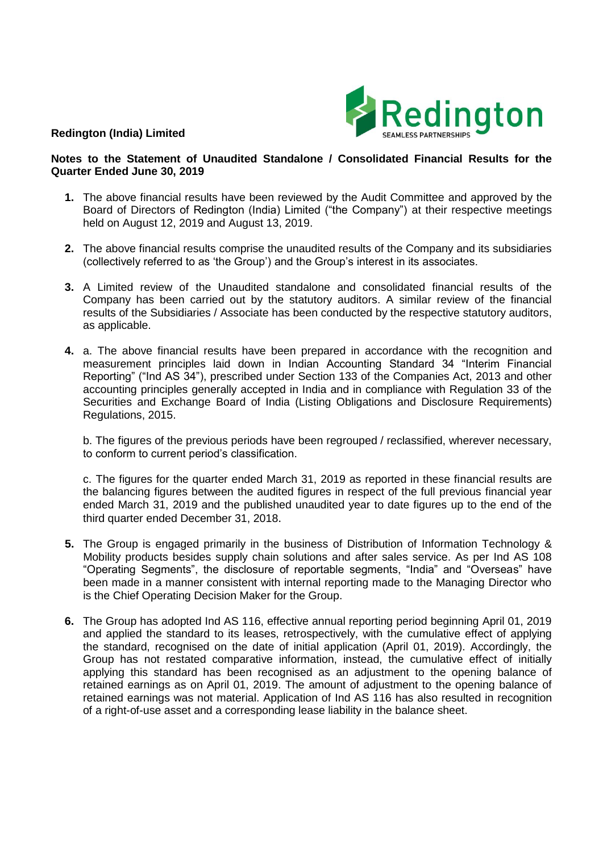

## **Redington (India) Limited**

## **Notes to the Statement of Unaudited Standalone / Consolidated Financial Results for the Quarter Ended June 30, 2019**

- **1.** The above financial results have been reviewed by the Audit Committee and approved by the Board of Directors of Redington (India) Limited ("the Company") at their respective meetings held on August 12, 2019 and August 13, 2019.
- **2.** The above financial results comprise the unaudited results of the Company and its subsidiaries (collectively referred to as 'the Group') and the Group's interest in its associates.
- **3.** A Limited review of the Unaudited standalone and consolidated financial results of the Company has been carried out by the statutory auditors. A similar review of the financial results of the Subsidiaries / Associate has been conducted by the respective statutory auditors, as applicable.
- **4.** a. The above financial results have been prepared in accordance with the recognition and measurement principles laid down in Indian Accounting Standard 34 "Interim Financial Reporting" ("Ind AS 34"), prescribed under Section 133 of the Companies Act, 2013 and other accounting principles generally accepted in India and in compliance with Regulation 33 of the Securities and Exchange Board of India (Listing Obligations and Disclosure Requirements) Regulations, 2015.

b. The figures of the previous periods have been regrouped / reclassified, wherever necessary, to conform to current period's classification.

c. The figures for the quarter ended March 31, 2019 as reported in these financial results are the balancing figures between the audited figures in respect of the full previous financial year ended March 31, 2019 and the published unaudited year to date figures up to the end of the third quarter ended December 31, 2018.

- **5.** The Group is engaged primarily in the business of Distribution of Information Technology & Mobility products besides supply chain solutions and after sales service. As per Ind AS 108 "Operating Segments", the disclosure of reportable segments, "India" and "Overseas" have been made in a manner consistent with internal reporting made to the Managing Director who is the Chief Operating Decision Maker for the Group.
- **6.** The Group has adopted Ind AS 116, effective annual reporting period beginning April 01, 2019 and applied the standard to its leases, retrospectively, with the cumulative effect of applying the standard, recognised on the date of initial application (April 01, 2019). Accordingly, the Group has not restated comparative information, instead, the cumulative effect of initially applying this standard has been recognised as an adjustment to the opening balance of retained earnings as on April 01, 2019. The amount of adjustment to the opening balance of retained earnings was not material. Application of Ind AS 116 has also resulted in recognition of a right-of-use asset and a corresponding lease liability in the balance sheet.